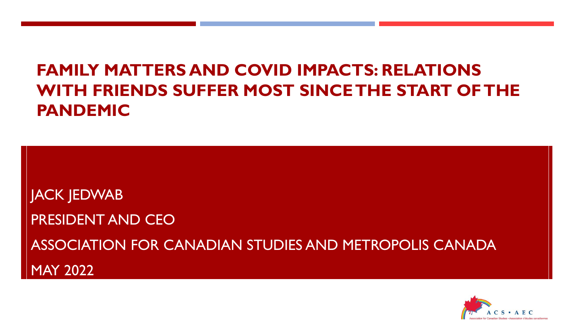# **FAMILY MATTERS AND COVID IMPACTS: RELATIONS WITH FRIENDS SUFFER MOST SINCE THE START OF THE PANDEMIC**

JACK JEDWAB PRESIDENT AND CEO ASSOCIATION FOR CANADIAN STUDIES AND METROPOLIS CANADA MAY 2022

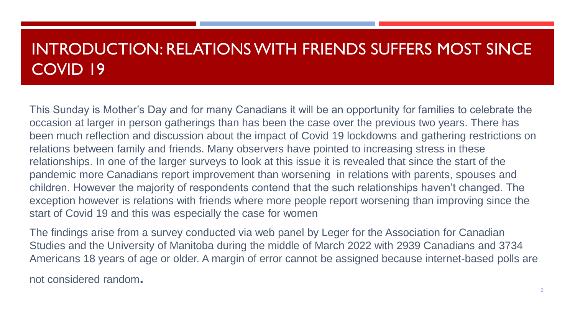### INTRODUCTION: RELATIONS WITH FRIENDS SUFFERS MOST SINCE COVID 19

This Sunday is Mother's Day and for many Canadians it will be an opportunity for families to celebrate the occasion at larger in person gatherings than has been the case over the previous two years. There has been much reflection and discussion about the impact of Covid 19 lockdowns and gathering restrictions on relations between family and friends. Many observers have pointed to increasing stress in these relationships. In one of the larger surveys to look at this issue it is revealed that since the start of the pandemic more Canadians report improvement than worsening in relations with parents, spouses and children. However the majority of respondents contend that the such relationships haven't changed. The exception however is relations with friends where more people report worsening than improving since the start of Covid 19 and this was especially the case for women

The findings arise from a survey conducted via web panel by Leger for the Association for Canadian Studies and the University of Manitoba during the middle of March 2022 with 2939 Canadians and 3734 Americans 18 years of age or older. A margin of error cannot be assigned because internet-based polls are

not considered random.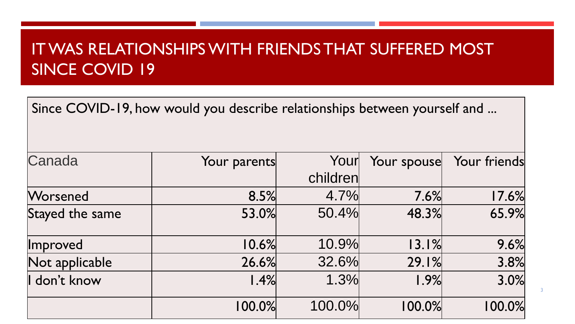# IT WAS RELATIONSHIPS WITH FRIENDS THAT SUFFERED MOST SINCE COVID 19

Since COVID-19, how would you describe relationships between yourself and ...

| Canada          | Your parents | Your     | Your spouse | Your friends |
|-----------------|--------------|----------|-------------|--------------|
|                 |              | children |             |              |
| <b>Worsened</b> | 8.5%         | 4.7%     | 7.6%        | 17.6%        |
| Stayed the same | 53.0%        | 50.4%    | 48.3%       | 65.9%        |
| <b>Improved</b> | 10.6%        | 10.9%    | 13.1%       | 9.6%         |
| Not applicable  | 26.6%        | 32.6%    | 29.1%       | 3.8%         |
| I don't know    | 1.4%         | 1.3%     | 1.9%        | 3.0%         |
|                 | 100.0%       | 100.0%   | 100.0%      | 100.0%       |

3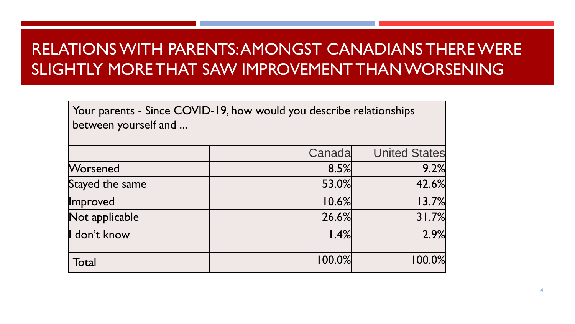# RELATIONS WITH PARENTS: AMONGST CANADIANS THERE WERE SLIGHTLY MORE THAT SAW IMPROVEMENT THAN WORSENING

Your parents - Since COVID-19, how would you describe relationships between yourself and ...

|                 | Canada | <b>United States</b> |
|-----------------|--------|----------------------|
| Worsened        | 8.5%   | 9.2%                 |
| Stayed the same | 53.0%  | 42.6%                |
| Improved        | 10.6%  | 13.7%                |
| Not applicable  | 26.6%  | 31.7%                |
| I don't know    | 1.4%   | 2.9%                 |
| Total           | 100.0% | 100.0%               |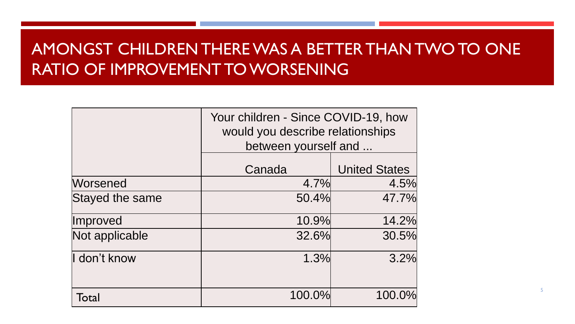# AMONGST CHILDREN THERE WAS A BETTER THAN TWO TO ONE RATIO OF IMPROVEMENT TO WORSENING

|                 | Your children - Since COVID-19, how<br>would you describe relationships<br>between yourself and |                      |  |
|-----------------|-------------------------------------------------------------------------------------------------|----------------------|--|
|                 | Canada                                                                                          | <b>United States</b> |  |
| <b>Worsened</b> | 4.7%                                                                                            | 4.5%                 |  |
| Stayed the same | 50.4%                                                                                           | 47.7%                |  |
| Improved        | 10.9%                                                                                           | 14.2%                |  |
| Not applicable  | 32.6%                                                                                           | 30.5%                |  |
| I don't know    | 1.3%                                                                                            | 3.2%                 |  |
| Total           | 100.0%                                                                                          | 100.0%               |  |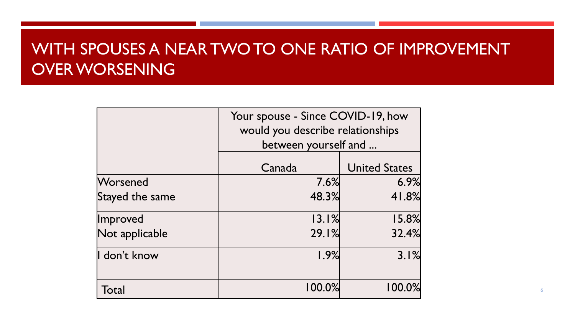### WITH SPOUSES A NEAR TWO TO ONE RATIO OF IMPROVEMENT OVER WORSENING

|                 | Your spouse - Since COVID-19, how<br>would you describe relationships<br>between yourself and |                      |  |
|-----------------|-----------------------------------------------------------------------------------------------|----------------------|--|
|                 |                                                                                               |                      |  |
|                 | Canada                                                                                        | <b>United States</b> |  |
| Worsened        | 7.6%                                                                                          | 6.9%                 |  |
| Stayed the same | 48.3%                                                                                         | 41.8%                |  |
| Improved        | 13.1%                                                                                         | 15.8%                |  |
| Not applicable  | 29.1%                                                                                         | 32.4%                |  |
| I don't know    | 1.9%                                                                                          | 3.1%                 |  |
| Total           | 100.0%                                                                                        | 100.0%               |  |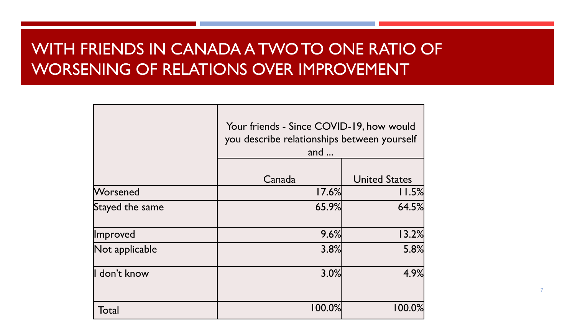# WITH FRIENDS IN CANADA A TWO TO ONE RATIO OF WORSENING OF RELATIONS OVER IMPROVEMENT

|                 | and $\ldots$ | Your friends - Since COVID-19, how would<br>you describe relationships between yourself |  |
|-----------------|--------------|-----------------------------------------------------------------------------------------|--|
|                 | Canada       | <b>United States</b>                                                                    |  |
| Worsened        | 17.6%        | 11.5%                                                                                   |  |
| Stayed the same | 65.9%        | 64.5%                                                                                   |  |
| Improved        | 9.6%         | 13.2%                                                                                   |  |
| Not applicable  | 3.8%         | 5.8%                                                                                    |  |
| I don't know    | 3.0%         | 4.9%                                                                                    |  |
| Total           | 100.0%       | 100.0%                                                                                  |  |